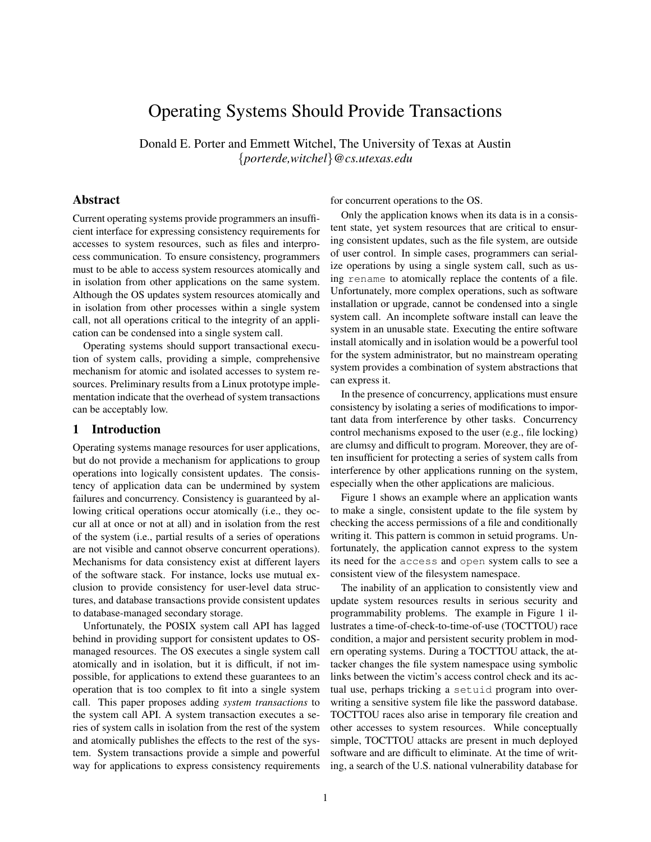# Operating Systems Should Provide Transactions

Donald E. Porter and Emmett Witchel, The University of Texas at Austin {*porterde,witchel*}*@cs.utexas.edu*

# Abstract

Current operating systems provide programmers an insufficient interface for expressing consistency requirements for accesses to system resources, such as files and interprocess communication. To ensure consistency, programmers must to be able to access system resources atomically and in isolation from other applications on the same system. Although the OS updates system resources atomically and in isolation from other processes within a single system call, not all operations critical to the integrity of an application can be condensed into a single system call.

Operating systems should support transactional execution of system calls, providing a simple, comprehensive mechanism for atomic and isolated accesses to system resources. Preliminary results from a Linux prototype implementation indicate that the overhead of system transactions can be acceptably low.

## 1 Introduction

Operating systems manage resources for user applications, but do not provide a mechanism for applications to group operations into logically consistent updates. The consistency of application data can be undermined by system failures and concurrency. Consistency is guaranteed by allowing critical operations occur atomically (i.e., they occur all at once or not at all) and in isolation from the rest of the system (i.e., partial results of a series of operations are not visible and cannot observe concurrent operations). Mechanisms for data consistency exist at different layers of the software stack. For instance, locks use mutual exclusion to provide consistency for user-level data structures, and database transactions provide consistent updates to database-managed secondary storage.

Unfortunately, the POSIX system call API has lagged behind in providing support for consistent updates to OSmanaged resources. The OS executes a single system call atomically and in isolation, but it is difficult, if not impossible, for applications to extend these guarantees to an operation that is too complex to fit into a single system call. This paper proposes adding *system transactions* to the system call API. A system transaction executes a series of system calls in isolation from the rest of the system and atomically publishes the effects to the rest of the system. System transactions provide a simple and powerful way for applications to express consistency requirements for concurrent operations to the OS.

Only the application knows when its data is in a consistent state, yet system resources that are critical to ensuring consistent updates, such as the file system, are outside of user control. In simple cases, programmers can serialize operations by using a single system call, such as using rename to atomically replace the contents of a file. Unfortunately, more complex operations, such as software installation or upgrade, cannot be condensed into a single system call. An incomplete software install can leave the system in an unusable state. Executing the entire software install atomically and in isolation would be a powerful tool for the system administrator, but no mainstream operating system provides a combination of system abstractions that can express it.

In the presence of concurrency, applications must ensure consistency by isolating a series of modifications to important data from interference by other tasks. Concurrency control mechanisms exposed to the user (e.g., file locking) are clumsy and difficult to program. Moreover, they are often insufficient for protecting a series of system calls from interference by other applications running on the system, especially when the other applications are malicious.

Figure 1 shows an example where an application wants to make a single, consistent update to the file system by checking the access permissions of a file and conditionally writing it. This pattern is common in setuid programs. Unfortunately, the application cannot express to the system its need for the access and open system calls to see a consistent view of the filesystem namespace.

The inability of an application to consistently view and update system resources results in serious security and programmability problems. The example in Figure 1 illustrates a time-of-check-to-time-of-use (TOCTTOU) race condition, a major and persistent security problem in modern operating systems. During a TOCTTOU attack, the attacker changes the file system namespace using symbolic links between the victim's access control check and its actual use, perhaps tricking a setuid program into overwriting a sensitive system file like the password database. TOCTTOU races also arise in temporary file creation and other accesses to system resources. While conceptually simple, TOCTTOU attacks are present in much deployed software and are difficult to eliminate. At the time of writing, a search of the U.S. national vulnerability database for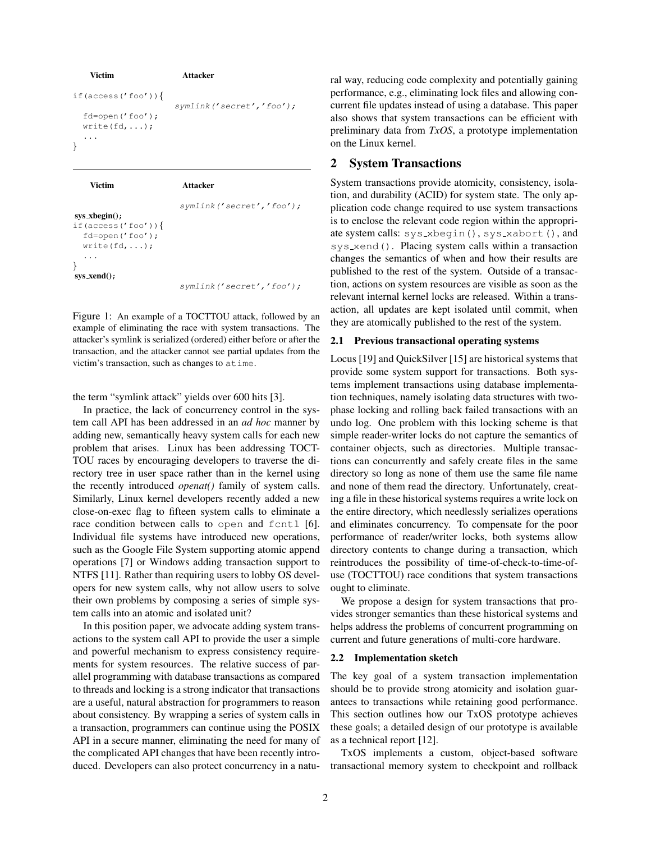```
Victim Attacker
if(access('foo')){
                  symlink('secret','foo');
 fd=open('foo');
 write(fd, \ldots);...
}
   Victim Attacker
```

```
symlink('secret','foo');
sys xbegin();
if(access('foo')){
  fd=open('foo');
  write(fd,...);
  ...
}
sys_xend();
```
symlink('secret','foo');

Figure 1: An example of a TOCTTOU attack, followed by an example of eliminating the race with system transactions. The attacker's symlink is serialized (ordered) either before or after the transaction, and the attacker cannot see partial updates from the victim's transaction, such as changes to atime.

the term "symlink attack" yields over 600 hits [3].

In practice, the lack of concurrency control in the system call API has been addressed in an *ad hoc* manner by adding new, semantically heavy system calls for each new problem that arises. Linux has been addressing TOCT-TOU races by encouraging developers to traverse the directory tree in user space rather than in the kernel using the recently introduced *openat()* family of system calls. Similarly, Linux kernel developers recently added a new close-on-exec flag to fifteen system calls to eliminate a race condition between calls to open and fcntl [6]. Individual file systems have introduced new operations, such as the Google File System supporting atomic append operations [7] or Windows adding transaction support to NTFS [11]. Rather than requiring users to lobby OS developers for new system calls, why not allow users to solve their own problems by composing a series of simple system calls into an atomic and isolated unit?

In this position paper, we advocate adding system transactions to the system call API to provide the user a simple and powerful mechanism to express consistency requirements for system resources. The relative success of parallel programming with database transactions as compared to threads and locking is a strong indicator that transactions are a useful, natural abstraction for programmers to reason about consistency. By wrapping a series of system calls in a transaction, programmers can continue using the POSIX API in a secure manner, eliminating the need for many of the complicated API changes that have been recently introduced. Developers can also protect concurrency in a natural way, reducing code complexity and potentially gaining performance, e.g., eliminating lock files and allowing concurrent file updates instead of using a database. This paper also shows that system transactions can be efficient with preliminary data from *TxOS*, a prototype implementation on the Linux kernel.

# 2 System Transactions

System transactions provide atomicity, consistency, isolation, and durability (ACID) for system state. The only application code change required to use system transactions is to enclose the relevant code region within the appropriate system calls: sys\_xbegin(), sys\_xabort(), and sys\_xend(). Placing system calls within a transaction changes the semantics of when and how their results are published to the rest of the system. Outside of a transaction, actions on system resources are visible as soon as the relevant internal kernel locks are released. Within a transaction, all updates are kept isolated until commit, when they are atomically published to the rest of the system.

#### 2.1 Previous transactional operating systems

Locus [19] and QuickSilver [15] are historical systems that provide some system support for transactions. Both systems implement transactions using database implementation techniques, namely isolating data structures with twophase locking and rolling back failed transactions with an undo log. One problem with this locking scheme is that simple reader-writer locks do not capture the semantics of container objects, such as directories. Multiple transactions can concurrently and safely create files in the same directory so long as none of them use the same file name and none of them read the directory. Unfortunately, creating a file in these historical systems requires a write lock on the entire directory, which needlessly serializes operations and eliminates concurrency. To compensate for the poor performance of reader/writer locks, both systems allow directory contents to change during a transaction, which reintroduces the possibility of time-of-check-to-time-ofuse (TOCTTOU) race conditions that system transactions ought to eliminate.

We propose a design for system transactions that provides stronger semantics than these historical systems and helps address the problems of concurrent programming on current and future generations of multi-core hardware.

## 2.2 Implementation sketch

The key goal of a system transaction implementation should be to provide strong atomicity and isolation guarantees to transactions while retaining good performance. This section outlines how our TxOS prototype achieves these goals; a detailed design of our prototype is available as a technical report [12].

TxOS implements a custom, object-based software transactional memory system to checkpoint and rollback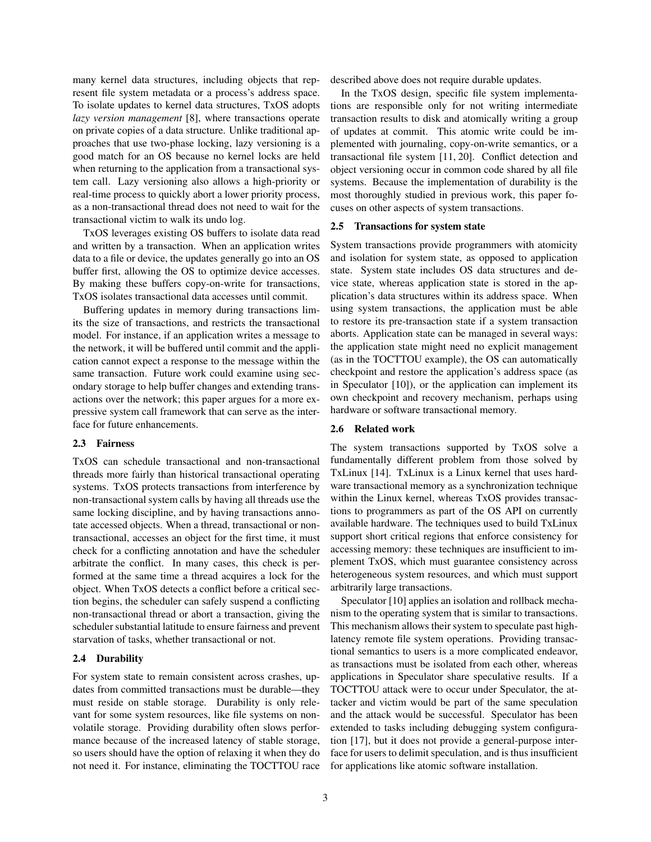many kernel data structures, including objects that represent file system metadata or a process's address space. To isolate updates to kernel data structures, TxOS adopts *lazy version management* [8], where transactions operate on private copies of a data structure. Unlike traditional approaches that use two-phase locking, lazy versioning is a good match for an OS because no kernel locks are held when returning to the application from a transactional system call. Lazy versioning also allows a high-priority or real-time process to quickly abort a lower priority process, as a non-transactional thread does not need to wait for the transactional victim to walk its undo log.

TxOS leverages existing OS buffers to isolate data read and written by a transaction. When an application writes data to a file or device, the updates generally go into an OS buffer first, allowing the OS to optimize device accesses. By making these buffers copy-on-write for transactions, TxOS isolates transactional data accesses until commit.

Buffering updates in memory during transactions limits the size of transactions, and restricts the transactional model. For instance, if an application writes a message to the network, it will be buffered until commit and the application cannot expect a response to the message within the same transaction. Future work could examine using secondary storage to help buffer changes and extending transactions over the network; this paper argues for a more expressive system call framework that can serve as the interface for future enhancements.

#### 2.3 Fairness

TxOS can schedule transactional and non-transactional threads more fairly than historical transactional operating systems. TxOS protects transactions from interference by non-transactional system calls by having all threads use the same locking discipline, and by having transactions annotate accessed objects. When a thread, transactional or nontransactional, accesses an object for the first time, it must check for a conflicting annotation and have the scheduler arbitrate the conflict. In many cases, this check is performed at the same time a thread acquires a lock for the object. When TxOS detects a conflict before a critical section begins, the scheduler can safely suspend a conflicting non-transactional thread or abort a transaction, giving the scheduler substantial latitude to ensure fairness and prevent starvation of tasks, whether transactional or not.

#### 2.4 Durability

For system state to remain consistent across crashes, updates from committed transactions must be durable—they must reside on stable storage. Durability is only relevant for some system resources, like file systems on nonvolatile storage. Providing durability often slows performance because of the increased latency of stable storage, so users should have the option of relaxing it when they do not need it. For instance, eliminating the TOCTTOU race described above does not require durable updates.

In the TxOS design, specific file system implementations are responsible only for not writing intermediate transaction results to disk and atomically writing a group of updates at commit. This atomic write could be implemented with journaling, copy-on-write semantics, or a transactional file system [11, 20]. Conflict detection and object versioning occur in common code shared by all file systems. Because the implementation of durability is the most thoroughly studied in previous work, this paper focuses on other aspects of system transactions.

#### 2.5 Transactions for system state

System transactions provide programmers with atomicity and isolation for system state, as opposed to application state. System state includes OS data structures and device state, whereas application state is stored in the application's data structures within its address space. When using system transactions, the application must be able to restore its pre-transaction state if a system transaction aborts. Application state can be managed in several ways: the application state might need no explicit management (as in the TOCTTOU example), the OS can automatically checkpoint and restore the application's address space (as in Speculator [10]), or the application can implement its own checkpoint and recovery mechanism, perhaps using hardware or software transactional memory.

#### 2.6 Related work

The system transactions supported by TxOS solve a fundamentally different problem from those solved by TxLinux [14]. TxLinux is a Linux kernel that uses hardware transactional memory as a synchronization technique within the Linux kernel, whereas TxOS provides transactions to programmers as part of the OS API on currently available hardware. The techniques used to build TxLinux support short critical regions that enforce consistency for accessing memory: these techniques are insufficient to implement TxOS, which must guarantee consistency across heterogeneous system resources, and which must support arbitrarily large transactions.

Speculator [10] applies an isolation and rollback mechanism to the operating system that is similar to transactions. This mechanism allows their system to speculate past highlatency remote file system operations. Providing transactional semantics to users is a more complicated endeavor, as transactions must be isolated from each other, whereas applications in Speculator share speculative results. If a TOCTTOU attack were to occur under Speculator, the attacker and victim would be part of the same speculation and the attack would be successful. Speculator has been extended to tasks including debugging system configuration [17], but it does not provide a general-purpose interface for users to delimit speculation, and is thus insufficient for applications like atomic software installation.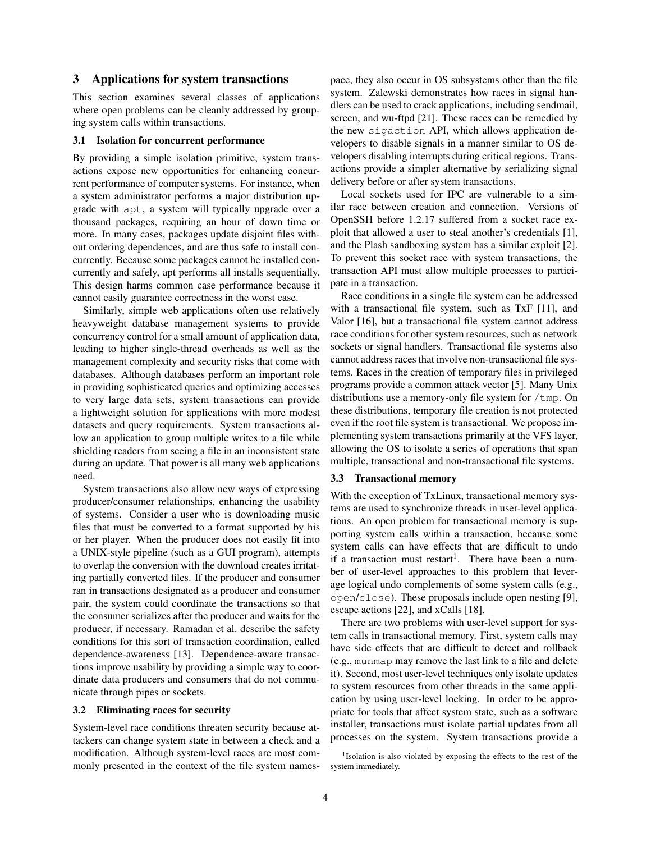## 3 Applications for system transactions

This section examines several classes of applications where open problems can be cleanly addressed by grouping system calls within transactions.

## 3.1 Isolation for concurrent performance

By providing a simple isolation primitive, system transactions expose new opportunities for enhancing concurrent performance of computer systems. For instance, when a system administrator performs a major distribution upgrade with apt, a system will typically upgrade over a thousand packages, requiring an hour of down time or more. In many cases, packages update disjoint files without ordering dependences, and are thus safe to install concurrently. Because some packages cannot be installed concurrently and safely, apt performs all installs sequentially. This design harms common case performance because it cannot easily guarantee correctness in the worst case.

Similarly, simple web applications often use relatively heavyweight database management systems to provide concurrency control for a small amount of application data, leading to higher single-thread overheads as well as the management complexity and security risks that come with databases. Although databases perform an important role in providing sophisticated queries and optimizing accesses to very large data sets, system transactions can provide a lightweight solution for applications with more modest datasets and query requirements. System transactions allow an application to group multiple writes to a file while shielding readers from seeing a file in an inconsistent state during an update. That power is all many web applications need.

System transactions also allow new ways of expressing producer/consumer relationships, enhancing the usability of systems. Consider a user who is downloading music files that must be converted to a format supported by his or her player. When the producer does not easily fit into a UNIX-style pipeline (such as a GUI program), attempts to overlap the conversion with the download creates irritating partially converted files. If the producer and consumer ran in transactions designated as a producer and consumer pair, the system could coordinate the transactions so that the consumer serializes after the producer and waits for the producer, if necessary. Ramadan et al. describe the safety conditions for this sort of transaction coordination, called dependence-awareness [13]. Dependence-aware transactions improve usability by providing a simple way to coordinate data producers and consumers that do not communicate through pipes or sockets.

## 3.2 Eliminating races for security

System-level race conditions threaten security because attackers can change system state in between a check and a modification. Although system-level races are most commonly presented in the context of the file system namespace, they also occur in OS subsystems other than the file system. Zalewski demonstrates how races in signal handlers can be used to crack applications, including sendmail, screen, and wu-ftpd [21]. These races can be remedied by the new sigaction API, which allows application developers to disable signals in a manner similar to OS developers disabling interrupts during critical regions. Transactions provide a simpler alternative by serializing signal delivery before or after system transactions.

Local sockets used for IPC are vulnerable to a similar race between creation and connection. Versions of OpenSSH before 1.2.17 suffered from a socket race exploit that allowed a user to steal another's credentials [1], and the Plash sandboxing system has a similar exploit [2]. To prevent this socket race with system transactions, the transaction API must allow multiple processes to participate in a transaction.

Race conditions in a single file system can be addressed with a transactional file system, such as TxF [11], and Valor [16], but a transactional file system cannot address race conditions for other system resources, such as network sockets or signal handlers. Transactional file systems also cannot address races that involve non-transactional file systems. Races in the creation of temporary files in privileged programs provide a common attack vector [5]. Many Unix distributions use a memory-only file system for /tmp. On these distributions, temporary file creation is not protected even if the root file system is transactional. We propose implementing system transactions primarily at the VFS layer, allowing the OS to isolate a series of operations that span multiple, transactional and non-transactional file systems.

## 3.3 Transactional memory

With the exception of TxLinux, transactional memory systems are used to synchronize threads in user-level applications. An open problem for transactional memory is supporting system calls within a transaction, because some system calls can have effects that are difficult to undo if a transaction must restart<sup>1</sup>. There have been a number of user-level approaches to this problem that leverage logical undo complements of some system calls (e.g., open/close). These proposals include open nesting [9], escape actions [22], and xCalls [18].

There are two problems with user-level support for system calls in transactional memory. First, system calls may have side effects that are difficult to detect and rollback (e.g., munmap may remove the last link to a file and delete it). Second, most user-level techniques only isolate updates to system resources from other threads in the same application by using user-level locking. In order to be appropriate for tools that affect system state, such as a software installer, transactions must isolate partial updates from all processes on the system. System transactions provide a

<sup>&</sup>lt;sup>1</sup>Isolation is also violated by exposing the effects to the rest of the system immediately.